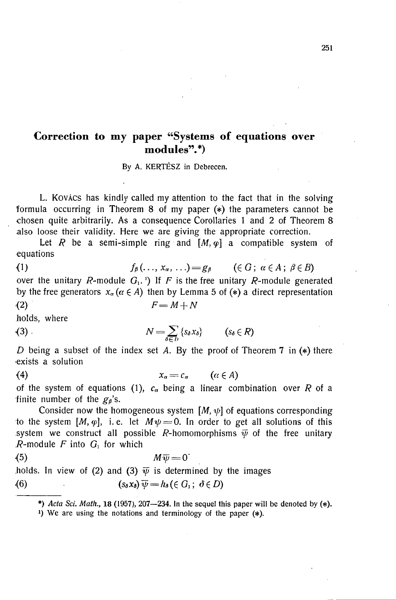## **Correction to my paper "Systems of equations over modules".\*)**

**By A. KERTÉSZ in Debrecen.** 

L. Kovács has kindly called my attention to the fact that in the solving formula occurring in Theorem 8 of my paper (\*) the parameters cannot be chosen quite arbitrarily. As a consequence Corollaries 1 and 2 of Theorem 8 also loose their validity. Here we are giving the appropriate correction.

Let R be a semi-simple ring and  $[M, \varphi]$  a compatible system of equations

(1) 
$$
f_{\beta}(\ldots, x_{\alpha}, \ldots) = g_{\beta}
$$
  $(\in G; \alpha \in A; \beta \in B)$  over the unitary *R*-module  $G_1$ .<sup>1</sup> If *F* is the free unitary *R*-module generated by the free generators  $x_{\alpha}(\alpha \in A)$  then by Lemma 5 of (\*) a direct representation (2)  $F = M + N$ 

holds, where

## (3)  $N = \sum_{\delta \in D} \{S_{\delta} X_{\delta}\}$   $(S_{\delta} \in R)$

*D* being a subset of the index set *A*. By the proof of Theorem 7 in (\*) there exists a solution

$$
(4) \t\t x_{\alpha}=c_{\alpha} \t\t (a\in A)
$$

of the system of equations (1),  $c_{\alpha}$  being a linear combination over *R* of a finite number of the  $g_{\beta}$ 's.

Consider now the homogeneous system  $[M, \psi]$  of equations corresponding to the system  $[M, \varphi]$ , i.e. let  $M\psi = 0$ . In order to get all solutions of this system we construct all possible *R*-homomorphisms  $\overline{\psi}$  of the free unitary  $R$ -module  $F$  into  $G<sub>1</sub>$  for which

$$
^{(5)}
$$

<5) Aiy = 0"

holds. In view of (2) and (3)  $\psi$  is determined by the images

(6) 
$$
(s_{\delta} x_{\delta}) \overline{\psi} = h_{\delta} (\in G_1; \ \delta \in D)
$$

\*) Acta Sci. Math., **18** (1957), 207—234. In the sequel this paper will be denoted by  $(*)$ .

**') We are using the notations and terminology of the paper (\*).**